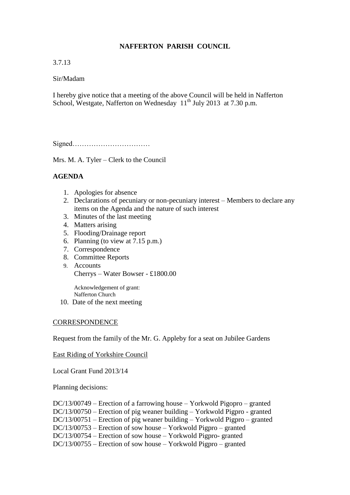# **NAFFERTON PARISH COUNCIL**

## 3.7.13

### Sir/Madam

I hereby give notice that a meeting of the above Council will be held in Nafferton School, Westgate, Nafferton on Wednesday  $11<sup>th</sup>$  July 2013 at 7.30 p.m.

Signed……………………………

Mrs. M. A. Tyler – Clerk to the Council

# **AGENDA**

- 1. Apologies for absence
- 2. Declarations of pecuniary or non-pecuniary interest Members to declare any items on the Agenda and the nature of such interest
- 3. Minutes of the last meeting
- 4. Matters arising
- 5. Flooding/Drainage report
- 6. Planning (to view at 7.15 p.m.)
- 7. Correspondence
- 8. Committee Reports
- 9. Accounts Cherrys – Water Bowser - £1800.00

Acknowledgement of grant: Nafferton Church

10. Date of the next meeting

#### **CORRESPONDENCE**

Request from the family of the Mr. G. Appleby for a seat on Jubilee Gardens

#### East Riding of Yorkshire Council

Local Grant Fund 2013/14

Planning decisions:

DC/13/00749 – Erection of a farrowing house – Yorkwold Pigopro – granted DC/13/00750 – Erection of pig weaner building – Yorkwold Pigpro - granted DC/13/00751 – Erection of pig weaner building – Yorkwold Pigpro – granted DC/13/00753 – Erection of sow house – Yorkwold Pigpro – granted DC/13/00754 – Erection of sow house – Yorkwold Pigpro- granted DC/13/00755 – Erection of sow house – Yorkwold Pigpro – granted